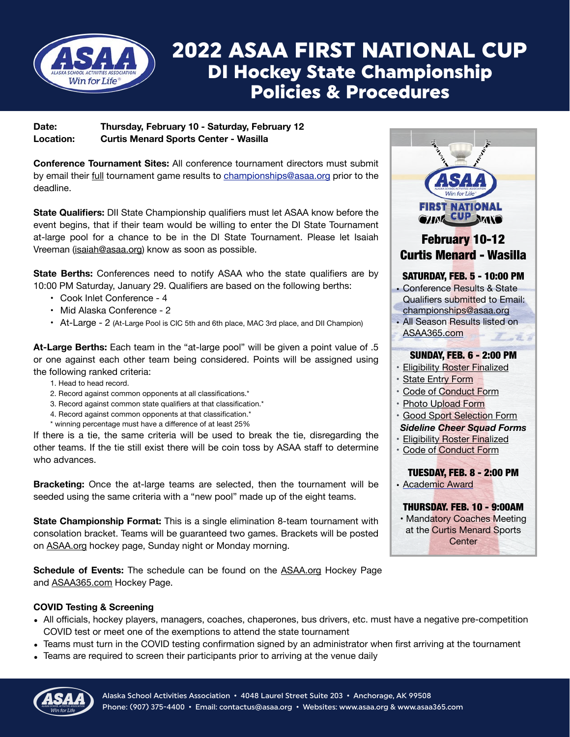

## 2022 ASAA FIRST NATIONAL CUP DI Hockey State Championship Policies & Procedures

**Date: Thursday, February 10 - Saturday, February 12 Location: Curtis Menard Sports Center - Wasilla** 

**Conference Tournament Sites:** All conference tournament directors must submit by email their full tournament game results to [championships@asaa.org](mailto:championships@asaa.org) prior to the deadline.

**State Qualifiers:** DII State Championship qualifiers must let ASAA know before the event begins, that if their team would be willing to enter the DI State Tournament at-large pool for a chance to be in the DI State Tournament. Please let Isaiah Vreeman [\(isaiah@asaa.org\)](mailto:isaiah@asaa.org) know as soon as possible.

**State Berths:** Conferences need to notify ASAA who the state qualifiers are by 10:00 PM Saturday, January 29. Qualifiers are based on the following berths:

- Cook Inlet Conference 4
- Mid Alaska Conference 2
- At-Large 2 (At-Large Pool is CIC 5th and 6th place, MAC 3rd place, and DII Champion)

**At-Large Berths:** Each team in the "at-large pool" will be given a point value of .5 or one against each other team being considered. Points will be assigned using the following ranked criteria:

- 1. Head to head record.
- 2. Record against common opponents at all classifications.\*
- 3. Record against common state qualifiers at that classification.\*
- 4. Record against common opponents at that classification.\*
- \* winning percentage must have a difference of at least 25%

If there is a tie, the same criteria will be used to break the tie, disregarding the other teams. If the tie still exist there will be coin toss by ASAA staff to determine who advances.

**Bracketing:** Once the at-large teams are selected, then the tournament will be seeded using the same criteria with a "new pool" made up of the eight teams.

**State Championship Format:** This is a single elimination 8-team tournament with consolation bracket. Teams will be guaranteed two games. Brackets will be posted on [ASAA.org](http://ASAA.org) hockey page, Sunday night or Monday morning.

**Schedule of Events:** The schedule can be found on the [ASAA.org](http://ASAA.org) Hockey Page and [ASAA365.com](http://ASAA365.com) Hockey Page.

## **COVID Testing & Screening**

- All officials, hockey players, managers, coaches, chaperones, bus drivers, etc. must have a negative pre-competition COVID test or meet one of the exemptions to attend the state tournament
- Teams must turn in the COVID testing confirmation signed by an administrator when first arriving at the tournament
- Teams are required to screen their participants prior to arriving at the venue daily



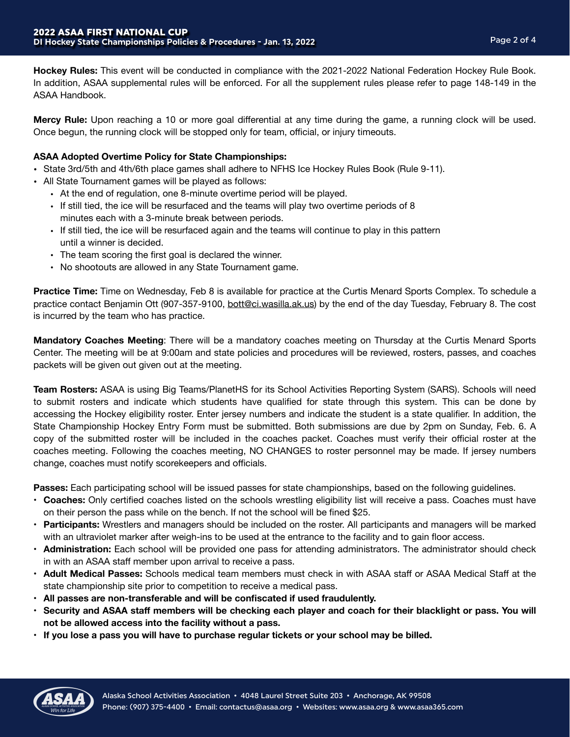**Hockey Rules:** This event will be conducted in compliance with the 2021-2022 National Federation Hockey Rule Book. In addition, ASAA supplemental rules will be enforced. For all the supplement rules please refer to page 148-149 in the ASAA Handbook.

**Mercy Rule:** Upon reaching a 10 or more goal differential at any time during the game, a running clock will be used. Once begun, the running clock will be stopped only for team, official, or injury timeouts.

## **ASAA Adopted Overtime Policy for State Championships:**

- State 3rd/5th and 4th/6th place games shall adhere to NFHS Ice Hockey Rules Book (Rule 9-11).
- All State Tournament games will be played as follows:
	- At the end of regulation, one 8-minute overtime period will be played.
	- If still tied, the ice will be resurfaced and the teams will play two overtime periods of 8 minutes each with a 3-minute break between periods.
	- If still tied, the ice will be resurfaced again and the teams will continue to play in this pattern until a winner is decided.
	- The team scoring the first goal is declared the winner.
	- No shootouts are allowed in any State Tournament game.

**Practice Time:** Time on Wednesday, Feb 8 is available for practice at the Curtis Menard Sports Complex. To schedule a practice contact Benjamin Ott (907-357-9100, [bott@ci.wasilla.ak.us\)](mailto:bott@ci.wasilla.ak.us) by the end of the day Tuesday, February 8. The cost is incurred by the team who has practice.

**Mandatory Coaches Meeting**: There will be a mandatory coaches meeting on Thursday at the Curtis Menard Sports Center. The meeting will be at 9:00am and state policies and procedures will be reviewed, rosters, passes, and coaches packets will be given out given out at the meeting.

**Team Rosters:** ASAA is using Big Teams/PlanetHS for its School Activities Reporting System (SARS). Schools will need to submit rosters and indicate which students have qualified for state through this system. This can be done by accessing the Hockey eligibility roster. Enter jersey numbers and indicate the student is a state qualifier. In addition, the State Championship Hockey Entry Form must be submitted. Both submissions are due by 2pm on Sunday, Feb. 6. A copy of the submitted roster will be included in the coaches packet. Coaches must verify their official roster at the coaches meeting. Following the coaches meeting, NO CHANGES to roster personnel may be made. If jersey numbers change, coaches must notify scorekeepers and officials.

**Passes:** Each participating school will be issued passes for state championships, based on the following guidelines.

- **Coaches:** Only certified coaches listed on the schools wrestling eligibility list will receive a pass. Coaches must have on their person the pass while on the bench. If not the school will be fined \$25.
- **Participants:** Wrestlers and managers should be included on the roster. All participants and managers will be marked with an ultraviolet marker after weigh-ins to be used at the entrance to the facility and to gain floor access.
- **Administration:** Each school will be provided one pass for attending administrators. The administrator should check in with an ASAA staff member upon arrival to receive a pass.
- **Adult Medical Passes:** Schools medical team members must check in with ASAA staff or ASAA Medical Staff at the state championship site prior to competition to receive a medical pass.
- **• All passes are non-transferable and will be confiscated if used fraudulently.**
- **• Security and ASAA staff members will be checking each player and coach for their blacklight or pass. You will not be allowed access into the facility without a pass.**
- **• If you lose a pass you will have to purchase regular tickets or your school may be billed.**

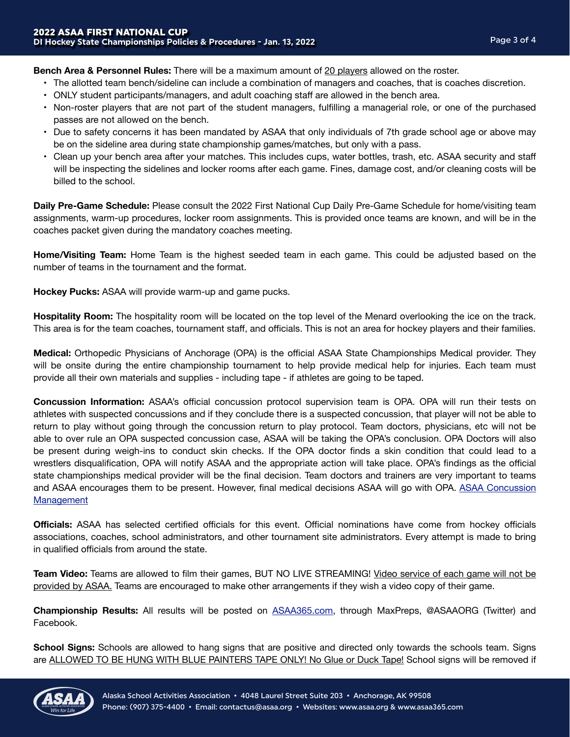**Bench Area & Personnel Rules:** There will be a maximum amount of 20 players allowed on the roster.

- The allotted team bench/sideline can include a combination of managers and coaches, that is coaches discretion.
- ONLY student participants/managers, and adult coaching staff are allowed in the bench area.
- Non-roster players that are not part of the student managers, fulfilling a managerial role, or one of the purchased passes are not allowed on the bench.
- Due to safety concerns it has been mandated by ASAA that only individuals of 7th grade school age or above may be on the sideline area during state championship games/matches, but only with a pass.
- Clean up your bench area after your matches. This includes cups, water bottles, trash, etc. ASAA security and staff will be inspecting the sidelines and locker rooms after each game. Fines, damage cost, and/or cleaning costs will be billed to the school.

**Daily Pre-Game Schedule:** Please consult the 2022 First National Cup Daily Pre-Game Schedule for home/visiting team assignments, warm-up procedures, locker room assignments. This is provided once teams are known, and will be in the coaches packet given during the mandatory coaches meeting.

**Home/Visiting Team:** Home Team is the highest seeded team in each game. This could be adjusted based on the number of teams in the tournament and the format.

**Hockey Pucks:** ASAA will provide warm-up and game pucks.

**Hospitality Room:** The hospitality room will be located on the top level of the Menard overlooking the ice on the track. This area is for the team coaches, tournament staff, and officials. This is not an area for hockey players and their families.

**Medical:** Orthopedic Physicians of Anchorage (OPA) is the official ASAA State Championships Medical provider. They will be onsite during the entire championship tournament to help provide medical help for injuries. Each team must provide all their own materials and supplies - including tape - if athletes are going to be taped.

**Concussion Information:** ASAA's official concussion protocol supervision team is OPA. OPA will run their tests on athletes with suspected concussions and if they conclude there is a suspected concussion, that player will not be able to return to play without going through the concussion return to play protocol. Team doctors, physicians, etc will not be able to over rule an OPA suspected concussion case, ASAA will be taking the OPA's conclusion. OPA Doctors will also be present during weigh-ins to conduct skin checks. If the OPA doctor finds a skin condition that could lead to a wrestlers disqualification, OPA will notify ASAA and the appropriate action will take place. OPA's findings as the official state championships medical provider will be the final decision. Team doctors and trainers are very important to teams and ASAA encourages them to be present. However, final medical decisions ASAA will go with OPA. [ASAA Concussion](http://asaa.org/resources/sports-medicine/concussion-management/) [Management](http://asaa.org/resources/sports-medicine/concussion-management/)

**Officials:** ASAA has selected certified officials for this event. Official nominations have come from hockey officials associations, coaches, school administrators, and other tournament site administrators. Every attempt is made to bring in qualified officials from around the state.

**Team Video:** Teams are allowed to film their games, BUT NO LIVE STREAMING! Video service of each game will not be provided by ASAA. Teams are encouraged to make other arrangements if they wish a video copy of their game.

**Championship Results:** All results will be posted on [ASAA365.com,](http://ASAA365.com) through MaxPreps, @ASAAORG (Twitter) and Facebook.

**School Signs:** Schools are allowed to hang signs that are positive and directed only towards the schools team. Signs are ALLOWED TO BE HUNG WITH BLUE PAINTERS TAPE ONLY! No Glue or Duck Tape! School signs will be removed if